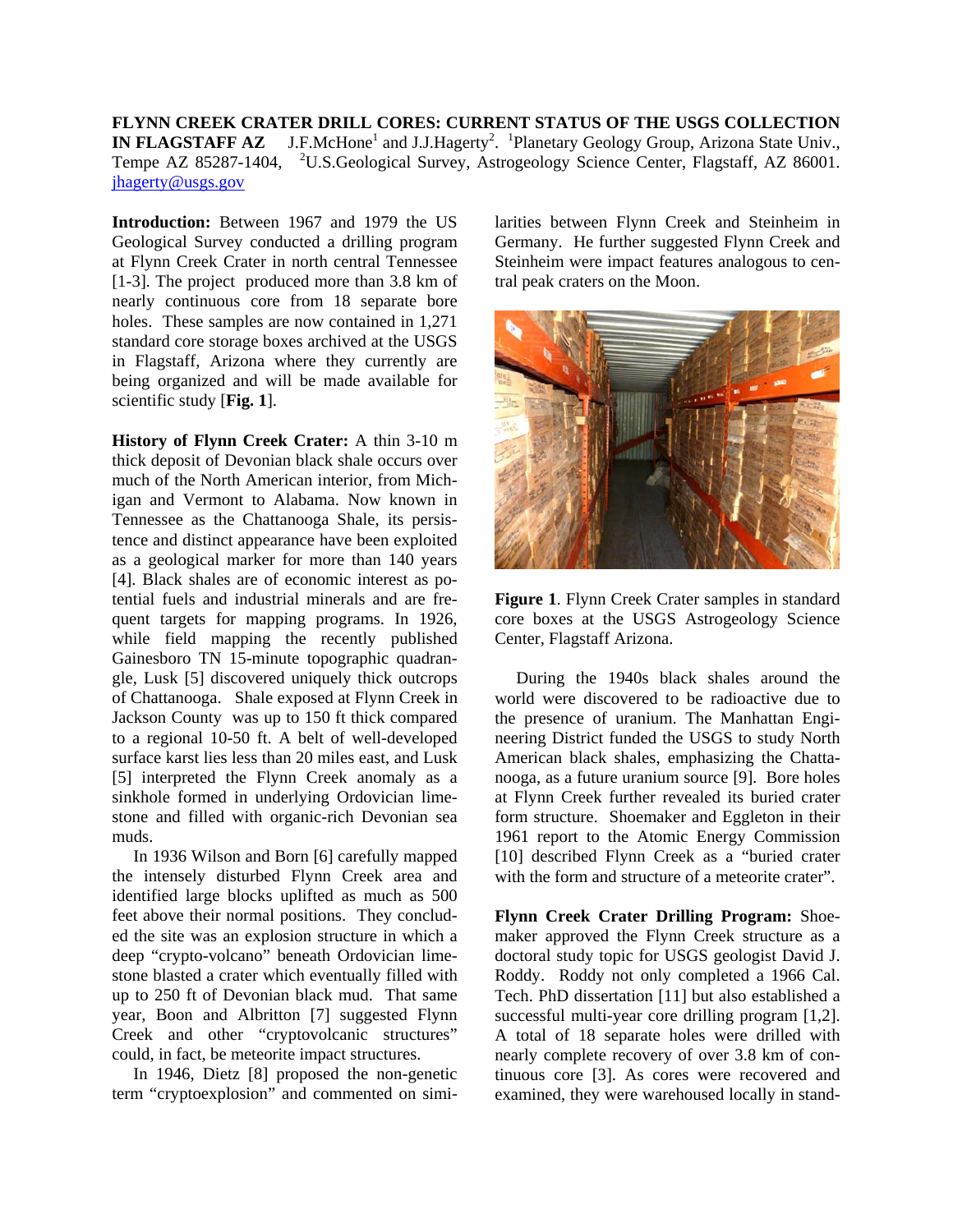**FLYNN CREEK CRATER DRILL CORES: CURRENT STATUS OF THE USGS COLLECTION IN FLAGSTAFF AZ** J.F.McHone<sup>1</sup> and J.J.Hagerty<sup>2</sup>. <sup>1</sup>Planetary Geology Group, Arizona State Univ., Tempe AZ 85287-1404, <sup>2</sup>U.S.Geological Survey, Astrogeology Science Center, Flagstaff, AZ 86001. [jhagerty@usgs.gov](mailto:jhagerty@usgs.gov)

**Introduction:** Between 1967 and 1979 the US Geological Survey conducted a drilling program at Flynn Creek Crater in north central Tennessee [1-3]. The project produced more than 3.8 km of nearly continuous core from 18 separate bore holes. These samples are now contained in 1,271 standard core storage boxes archived at the USGS in Flagstaff, Arizona where they currently are being organized and will be made available for scientific study [**Fig. 1**].

**History of Flynn Creek Crater:** A thin 3-10 m thick deposit of Devonian black shale occurs over much of the North American interior, from Michigan and Vermont to Alabama. Now known in Tennessee as the Chattanooga Shale, its persistence and distinct appearance have been exploited as a geological marker for more than 140 years [4]. Black shales are of economic interest as potential fuels and industrial minerals and are frequent targets for mapping programs. In 1926, while field mapping the recently published Gainesboro TN 15-minute topographic quadrangle, Lusk [5] discovered uniquely thick outcrops of Chattanooga. Shale exposed at Flynn Creek in Jackson County was up to 150 ft thick compared to a regional 10-50 ft. A belt of well-developed surface karst lies less than 20 miles east, and Lusk [5] interpreted the Flynn Creek anomaly as a sinkhole formed in underlying Ordovician limestone and filled with organic-rich Devonian sea muds.

 In 1936 Wilson and Born [6] carefully mapped the intensely disturbed Flynn Creek area and identified large blocks uplifted as much as 500 feet above their normal positions. They concluded the site was an explosion structure in which a deep "crypto-volcano" beneath Ordovician limestone blasted a crater which eventually filled with up to 250 ft of Devonian black mud. That same year, Boon and Albritton [7] suggested Flynn Creek and other "cryptovolcanic structures" could, in fact, be meteorite impact structures.

 In 1946, Dietz [8] proposed the non-genetic term "cryptoexplosion" and commented on similarities between Flynn Creek and Steinheim in Germany. He further suggested Flynn Creek and Steinheim were impact features analogous to central peak craters on the Moon.



**Figure 1**. Flynn Creek Crater samples in standard core boxes at the USGS Astrogeology Science Center, Flagstaff Arizona.

 During the 1940s black shales around the world were discovered to be radioactive due to the presence of uranium. The Manhattan Engineering District funded the USGS to study North American black shales, emphasizing the Chattanooga, as a future uranium source [9]. Bore holes at Flynn Creek further revealed its buried crater form structure. Shoemaker and Eggleton in their 1961 report to the Atomic Energy Commission [10] described Flynn Creek as a "buried crater with the form and structure of a meteorite crater".

**Flynn Creek Crater Drilling Program:** Shoemaker approved the Flynn Creek structure as a doctoral study topic for USGS geologist David J. Roddy. Roddy not only completed a 1966 Cal. Tech. PhD dissertation [11] but also established a successful multi-year core drilling program [1,2]. A total of 18 separate holes were drilled with nearly complete recovery of over 3.8 km of continuous core [3]. As cores were recovered and examined, they were warehoused locally in stand